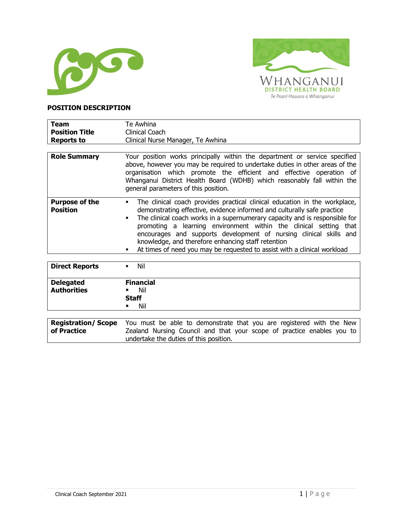



### **POSITION DESCRIPTION**

| Team                                     | Te Awhina                                                                                                                                                                                                                                                                                                                                                                                                                                                                                                                                |  |  |  |  |
|------------------------------------------|------------------------------------------------------------------------------------------------------------------------------------------------------------------------------------------------------------------------------------------------------------------------------------------------------------------------------------------------------------------------------------------------------------------------------------------------------------------------------------------------------------------------------------------|--|--|--|--|
| <b>Position Title</b>                    | Clinical Coach                                                                                                                                                                                                                                                                                                                                                                                                                                                                                                                           |  |  |  |  |
| <b>Reports to</b>                        | Clinical Nurse Manager, Te Awhina                                                                                                                                                                                                                                                                                                                                                                                                                                                                                                        |  |  |  |  |
|                                          |                                                                                                                                                                                                                                                                                                                                                                                                                                                                                                                                          |  |  |  |  |
| <b>Role Summary</b>                      | Your position works principally within the department or service specified<br>above, however you may be required to undertake duties in other areas of the<br>organisation which promote the efficient and effective operation of<br>Whanganui District Health Board (WDHB) which reasonably fall within the<br>general parameters of this position.                                                                                                                                                                                     |  |  |  |  |
| <b>Purpose of the</b><br><b>Position</b> | The clinical coach provides practical clinical education in the workplace,<br>٠<br>demonstrating effective, evidence informed and culturally safe practice<br>The clinical coach works in a supernumerary capacity and is responsible for<br>$\blacksquare$<br>promoting a learning environment within the clinical setting that<br>encourages and supports development of nursing clinical skills and<br>knowledge, and therefore enhancing staff retention<br>At times of need you may be requested to assist with a clinical workload |  |  |  |  |

| <b>Direct Reports</b>            | Nil<br>$\blacksquare$                          |  |
|----------------------------------|------------------------------------------------|--|
| <b>Delegated<br/>Authorities</b> | <b>Financial</b><br>Nil<br><b>Staff</b><br>Nil |  |

|             | <b>Registration/Scope</b> You must be able to demonstrate that you are registered with the New |  |  |
|-------------|------------------------------------------------------------------------------------------------|--|--|
| of Practice | Zealand Nursing Council and that your scope of practice enables you to                         |  |  |
|             | undertake the duties of this position.                                                         |  |  |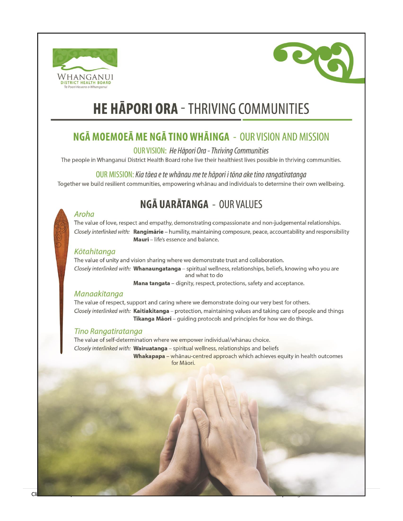



# **HE HAPORI ORA - THRIVING COMMUNITIES**

### NGĀ MOEMOEĀ ME NGĀ TINO WHĀINGA - OUR VISION AND MISSION

**OUR VISION: He Hapori Ora - Thriving Communities** 

The people in Whanganui District Health Board rohe live their healthiest lives possible in thriving communities.

OUR MISSION: Kia tãea e te whānau me te hāpori i tōna ake tino rangatiratanga Together we build resilient communities, empowering whanau and individuals to determine their own wellbeing.

## **NGĀ UARĀTANGA - OUR VALUES**

The value of love, respect and empathy, demonstrating compassionate and non-judgemental relationships. Closely interlinked with: Rangimarie - humility, maintaining composure, peace, accountability and responsibility Mauri - life's essence and balance.

#### Kōtahitanga

Aroha

The value of unity and vision sharing where we demonstrate trust and collaboration. Closely interlinked with: Whanaungatanga - spiritual wellness, relationships, beliefs, knowing who you are and what to do

Mana tangata - dignity, respect, protections, safety and acceptance.

### Manaakitanga

The value of respect, support and caring where we demonstrate doing our very best for others. Closely interlinked with: Kaitiakitanga - protection, maintaining values and taking care of people and things Tikanga Māori - guiding protocols and principles for how we do things.

### Tino Rangatiratanga

The value of self-determination where we empower individual/whānau choice. Closely interlinked with: Wairuatanga - spiritual wellness, relationships and beliefs Whakapapa - whānau-centred approach which achieves equity in health outcomes for Māori.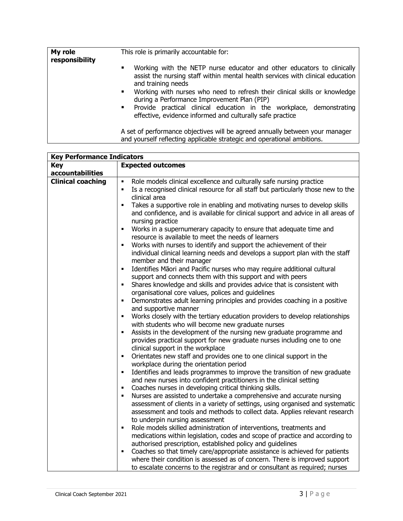| My role<br>responsibility | This role is primarily accountable for:                                                                                                                                                                                                                                                                                                                                                                                                                                                                |  |  |  |  |  |
|---------------------------|--------------------------------------------------------------------------------------------------------------------------------------------------------------------------------------------------------------------------------------------------------------------------------------------------------------------------------------------------------------------------------------------------------------------------------------------------------------------------------------------------------|--|--|--|--|--|
|                           | Working with the NETP nurse educator and other educators to clinically<br>$\blacksquare$<br>assist the nursing staff within mental health services with clinical education<br>and training needs<br>Working with nurses who need to refresh their clinical skills or knowledge<br>$\blacksquare$<br>during a Performance Improvement Plan (PIP)<br>Provide practical clinical education in the workplace, demonstrating<br>$\blacksquare$<br>effective, evidence informed and culturally safe practice |  |  |  |  |  |
|                           | A set of performance objectives will be agreed annually between your manager<br>and yourself reflecting applicable strategic and operational ambitions.                                                                                                                                                                                                                                                                                                                                                |  |  |  |  |  |

| <b>Key Performance Indicators</b> |                                                                                                                           |  |  |  |  |  |  |
|-----------------------------------|---------------------------------------------------------------------------------------------------------------------------|--|--|--|--|--|--|
| <b>Key</b>                        | <b>Expected outcomes</b>                                                                                                  |  |  |  |  |  |  |
| accountabilities                  |                                                                                                                           |  |  |  |  |  |  |
| <b>Clinical coaching</b>          | Role models clinical excellence and culturally safe nursing practice                                                      |  |  |  |  |  |  |
|                                   | Is a recognised clinical resource for all staff but particularly those new to the<br>$\blacksquare$                       |  |  |  |  |  |  |
|                                   | clinical area                                                                                                             |  |  |  |  |  |  |
|                                   | Takes a supportive role in enabling and motivating nurses to develop skills<br>$\blacksquare$                             |  |  |  |  |  |  |
|                                   | and confidence, and is available for clinical support and advice in all areas of<br>nursing practice                      |  |  |  |  |  |  |
|                                   | $\blacksquare$                                                                                                            |  |  |  |  |  |  |
|                                   | Works in a supernumerary capacity to ensure that adequate time and<br>resource is available to meet the needs of learners |  |  |  |  |  |  |
|                                   |                                                                                                                           |  |  |  |  |  |  |
|                                   | Works with nurses to identify and support the achievement of their<br>$\blacksquare$                                      |  |  |  |  |  |  |
|                                   | individual clinical learning needs and develops a support plan with the staff<br>member and their manager                 |  |  |  |  |  |  |
|                                   | Identifies Māori and Pacific nurses who may require additional cultural<br>$\blacksquare$                                 |  |  |  |  |  |  |
|                                   | support and connects them with this support and with peers                                                                |  |  |  |  |  |  |
|                                   | Shares knowledge and skills and provides advice that is consistent with<br>٠.                                             |  |  |  |  |  |  |
|                                   | organisational core values, polices and guidelines                                                                        |  |  |  |  |  |  |
|                                   |                                                                                                                           |  |  |  |  |  |  |
|                                   | Demonstrates adult learning principles and provides coaching in a positive<br>$\blacksquare$                              |  |  |  |  |  |  |
|                                   | and supportive manner                                                                                                     |  |  |  |  |  |  |
|                                   | Works closely with the tertiary education providers to develop relationships                                              |  |  |  |  |  |  |
|                                   | with students who will become new graduate nurses                                                                         |  |  |  |  |  |  |
|                                   | Assists in the development of the nursing new graduate programme and<br>$\blacksquare$                                    |  |  |  |  |  |  |
|                                   | provides practical support for new graduate nurses including one to one                                                   |  |  |  |  |  |  |
|                                   | clinical support in the workplace                                                                                         |  |  |  |  |  |  |
|                                   | Orientates new staff and provides one to one clinical support in the<br>$\blacksquare$                                    |  |  |  |  |  |  |
|                                   | workplace during the orientation period                                                                                   |  |  |  |  |  |  |
|                                   | Identifies and leads programmes to improve the transition of new graduate                                                 |  |  |  |  |  |  |
|                                   | and new nurses into confident practitioners in the clinical setting                                                       |  |  |  |  |  |  |
|                                   | Coaches nurses in developing critical thinking skills.<br>$\blacksquare$                                                  |  |  |  |  |  |  |
|                                   | Nurses are assisted to undertake a comprehensive and accurate nursing<br>$\blacksquare$                                   |  |  |  |  |  |  |
|                                   | assessment of clients in a variety of settings, using organised and systematic                                            |  |  |  |  |  |  |
|                                   | assessment and tools and methods to collect data. Applies relevant research                                               |  |  |  |  |  |  |
|                                   | to underpin nursing assessment                                                                                            |  |  |  |  |  |  |
|                                   | Role models skilled administration of interventions, treatments and<br>٠                                                  |  |  |  |  |  |  |
|                                   | medications within legislation, codes and scope of practice and according to                                              |  |  |  |  |  |  |
|                                   | authorised prescription, established policy and guidelines                                                                |  |  |  |  |  |  |
|                                   | Coaches so that timely care/appropriate assistance is achieved for patients<br>$\blacksquare$                             |  |  |  |  |  |  |
|                                   | where their condition is assessed as of concern. There is improved support                                                |  |  |  |  |  |  |
|                                   |                                                                                                                           |  |  |  |  |  |  |
|                                   | to escalate concerns to the registrar and or consultant as required; nurses                                               |  |  |  |  |  |  |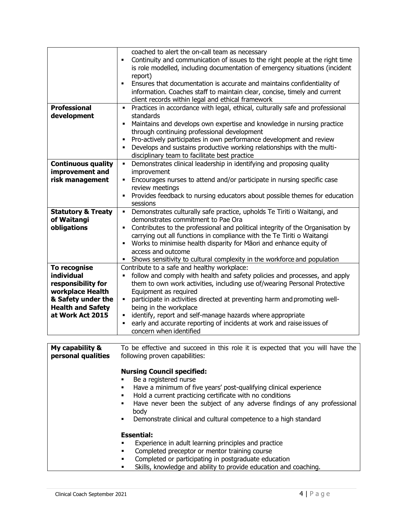|                                              | coached to alert the on-call team as necessary<br>Continuity and communication of issues to the right people at the right time<br>$\blacksquare$<br>is role modelled, including documentation of emergency situations (incident        |  |  |  |  |
|----------------------------------------------|----------------------------------------------------------------------------------------------------------------------------------------------------------------------------------------------------------------------------------------|--|--|--|--|
|                                              | report)<br>Ensures that documentation is accurate and maintains confidentiality of<br>$\blacksquare$<br>information. Coaches staff to maintain clear, concise, timely and current<br>client records within legal and ethical framework |  |  |  |  |
| <b>Professional</b><br>development           | Practices in accordance with legal, ethical, culturally safe and professional<br>٠.<br>standards                                                                                                                                       |  |  |  |  |
|                                              | Maintains and develops own expertise and knowledge in nursing practice<br>$\blacksquare$                                                                                                                                               |  |  |  |  |
|                                              | through continuing professional development<br>Pro-actively participates in own performance development and review<br>٠                                                                                                                |  |  |  |  |
|                                              | Develops and sustains productive working relationships with the multi-<br>٠<br>disciplinary team to facilitate best practice                                                                                                           |  |  |  |  |
| <b>Continuous quality</b>                    | Demonstrates clinical leadership in identifying and proposing quality<br>$\blacksquare$                                                                                                                                                |  |  |  |  |
| improvement and<br>risk management           | improvement<br>• Encourages nurses to attend and/or participate in nursing specific case                                                                                                                                               |  |  |  |  |
|                                              | review meetings                                                                                                                                                                                                                        |  |  |  |  |
|                                              | Provides feedback to nursing educators about possible themes for education                                                                                                                                                             |  |  |  |  |
| <b>Statutory &amp; Treaty</b>                | sessions<br>Demonstrates culturally safe practice, upholds Te Tiriti o Waitangi, and                                                                                                                                                   |  |  |  |  |
| of Waitangi                                  | demonstrates commitment to Pae Ora                                                                                                                                                                                                     |  |  |  |  |
| obligations                                  | Contributes to the professional and political integrity of the Organisation by                                                                                                                                                         |  |  |  |  |
|                                              | carrying out all functions in compliance with the Te Tiriti o Waitangi<br>• Works to minimise health disparity for Māori and enhance equity of                                                                                         |  |  |  |  |
|                                              | access and outcome                                                                                                                                                                                                                     |  |  |  |  |
|                                              | Shows sensitivity to cultural complexity in the workforce and population                                                                                                                                                               |  |  |  |  |
| To recognise<br>individual                   | Contribute to a safe and healthy workplace:                                                                                                                                                                                            |  |  |  |  |
| responsibility for                           | follow and comply with health and safety policies and processes, and apply<br>them to own work activities, including use of/wearing Personal Protective                                                                                |  |  |  |  |
| workplace Health                             | Equipment as required                                                                                                                                                                                                                  |  |  |  |  |
| & Safety under the                           | participate in activities directed at preventing harm and promoting well-<br>٠                                                                                                                                                         |  |  |  |  |
| <b>Health and Safety</b><br>at Work Act 2015 | being in the workplace<br>identify, report and self-manage hazards where appropriate<br>٠                                                                                                                                              |  |  |  |  |
|                                              | early and accurate reporting of incidents at work and raise issues of<br>٠                                                                                                                                                             |  |  |  |  |
|                                              | concern when identified                                                                                                                                                                                                                |  |  |  |  |
|                                              |                                                                                                                                                                                                                                        |  |  |  |  |
| My capability &<br>personal qualities        | To be effective and succeed in this role it is expected that you will have the<br>following proven capabilities:                                                                                                                       |  |  |  |  |
|                                              | <b>Nursing Council specified:</b>                                                                                                                                                                                                      |  |  |  |  |
|                                              | Be a registered nurse<br>٠                                                                                                                                                                                                             |  |  |  |  |
|                                              | Have a minimum of five years' post-qualifying clinical experience<br>Hold a current practicing certificate with no conditions<br>٠                                                                                                     |  |  |  |  |
|                                              | Have never been the subject of any adverse findings of any professional<br>٠                                                                                                                                                           |  |  |  |  |
|                                              | body                                                                                                                                                                                                                                   |  |  |  |  |
|                                              | Demonstrate clinical and cultural competence to a high standard<br>٠                                                                                                                                                                   |  |  |  |  |
|                                              | <b>Essential:</b>                                                                                                                                                                                                                      |  |  |  |  |
|                                              | Experience in adult learning principles and practice                                                                                                                                                                                   |  |  |  |  |
|                                              | Completed preceptor or mentor training course<br>٠<br>Completed or participating in postgraduate education                                                                                                                             |  |  |  |  |
|                                              | Skills, knowledge and ability to provide education and coaching.<br>٠                                                                                                                                                                  |  |  |  |  |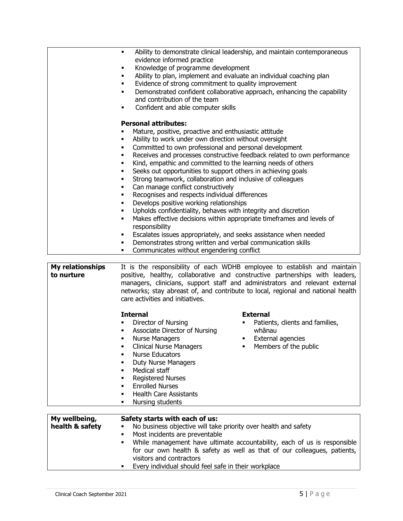| ٠              | Ability to demonstrate clinical leadership, and maintain contemporaneous |
|----------------|--------------------------------------------------------------------------|
|                | evidence informed practice                                               |
|                | Knowledge of programme development                                       |
| ٠              | Ability to plan, implement and evaluate an individual coaching plan      |
| ٠              | Evidence of strong commitment to quality improvement                     |
|                | Demonstrated confident collaborative approach, enhancing the capability  |
|                | and contribution of the team                                             |
| $\blacksquare$ | Confident and able computer skills                                       |
|                |                                                                          |
|                | <b>Personal attributes:</b>                                              |
|                | Mature, positive, proactive and enthusiastic attitude                    |
| ٠              | Ability to work under own direction without oversight                    |
|                | Committed to own professional and personal development                   |
|                | Receives and processes constructive feedback related to own performance  |
| ٠              | Kind, empathic and committed to the learning needs of others             |
| ٠              | Seeks out opportunities to support others in achieving goals             |
|                | Strong teamwork, collaboration and inclusive of colleagues               |
|                |                                                                          |
|                | Can manage conflict constructively                                       |
| ٠              | Recognises and respects individual differences                           |
| ٠              | Develops positive working relationships                                  |
|                | Upholds confidentiality, behaves with integrity and discretion           |
| ٠              | Makes effective decisions within appropriate timeframes and levels of    |
|                | responsibility                                                           |
| ٠              | Escalates issues appropriately, and seeks assistance when needed         |
|                | Demonstrates strong written and verbal communication skills              |
|                | Communicates without engendering conflict                                |
|                |                                                                          |

| <b>My relationships</b><br>to nurture | It is the responsibility of each WDHB employee to establish and maintain<br>positive, healthy, collaborative and constructive partnerships with leaders,<br>managers, clinicians, support staff and administrators and relevant external<br>networks; stay abreast of, and contribute to local, regional and national health<br>care activities and initiatives. |                                                                                                                        |  |  |  |  |
|---------------------------------------|------------------------------------------------------------------------------------------------------------------------------------------------------------------------------------------------------------------------------------------------------------------------------------------------------------------------------------------------------------------|------------------------------------------------------------------------------------------------------------------------|--|--|--|--|
|                                       | <b>Internal</b>                                                                                                                                                                                                                                                                                                                                                  | <b>External</b>                                                                                                        |  |  |  |  |
|                                       | Director of Nursing<br>Associate Director of Nursing<br>Nurse Managers<br><b>Clinical Nurse Managers</b><br>Nurse Educators<br><b>Duty Nurse Managers</b><br>Medical staff<br><b>Registered Nurses</b><br><b>Enrolled Nurses</b><br><b>Health Care Assistants</b><br>Nursing students                                                                            | Patients, clients and families,<br>whānau<br><b>External agencies</b><br>$\blacksquare$<br>Members of the public<br>п. |  |  |  |  |

| My wellbeing,   | Safety starts with each of us:                                                                       |  |  |  |  |  |
|-----------------|------------------------------------------------------------------------------------------------------|--|--|--|--|--|
| health & safety | • No business objective will take priority over health and safety                                    |  |  |  |  |  |
|                 | • Most incidents are preventable                                                                     |  |  |  |  |  |
|                 | • While management have ultimate accountability, each of us is responsible                           |  |  |  |  |  |
|                 | for our own health & safety as well as that of our colleagues, patients,<br>visitors and contractors |  |  |  |  |  |
|                 | • Every individual should feel safe in their workplace                                               |  |  |  |  |  |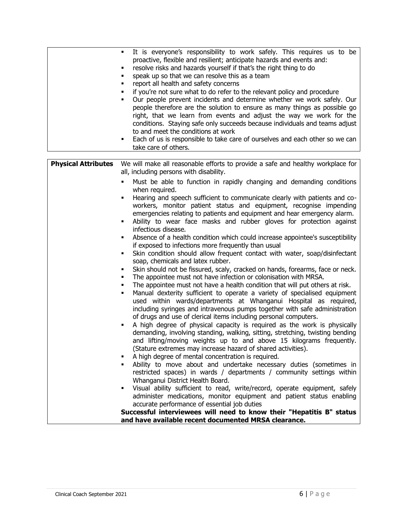|                                                      | It is everyone's responsibility to work safely. This requires us to be<br>٠        |  |  |  |  |  |
|------------------------------------------------------|------------------------------------------------------------------------------------|--|--|--|--|--|
|                                                      | proactive, flexible and resilient; anticipate hazards and events and:              |  |  |  |  |  |
|                                                      | resolve risks and hazards yourself if that's the right thing to do<br>٠            |  |  |  |  |  |
|                                                      | speak up so that we can resolve this as a team<br>٠                                |  |  |  |  |  |
|                                                      | report all health and safety concerns                                              |  |  |  |  |  |
|                                                      | if you're not sure what to do refer to the relevant policy and procedure<br>٠      |  |  |  |  |  |
|                                                      | Our people prevent incidents and determine whether we work safely. Our<br>٠        |  |  |  |  |  |
|                                                      | people therefore are the solution to ensure as many things as possible go          |  |  |  |  |  |
|                                                      | right, that we learn from events and adjust the way we work for the                |  |  |  |  |  |
|                                                      | conditions. Staying safe only succeeds because individuals and teams adjust        |  |  |  |  |  |
|                                                      | to and meet the conditions at work                                                 |  |  |  |  |  |
|                                                      | Each of us is responsible to take care of ourselves and each other so we can<br>٠  |  |  |  |  |  |
|                                                      | take care of others.                                                               |  |  |  |  |  |
|                                                      |                                                                                    |  |  |  |  |  |
| <b>Physical Attributes</b>                           | We will make all reasonable efforts to provide a safe and healthy workplace for    |  |  |  |  |  |
|                                                      | all, including persons with disability.                                            |  |  |  |  |  |
|                                                      | Must be able to function in rapidly changing and demanding conditions<br>٠         |  |  |  |  |  |
|                                                      | when required.                                                                     |  |  |  |  |  |
|                                                      | Hearing and speech sufficient to communicate clearly with patients and co-<br>٠    |  |  |  |  |  |
|                                                      | workers, monitor patient status and equipment, recognise impending                 |  |  |  |  |  |
|                                                      | emergencies relating to patients and equipment and hear emergency alarm.           |  |  |  |  |  |
|                                                      | Ability to wear face masks and rubber gloves for protection against<br>٠           |  |  |  |  |  |
|                                                      | infectious disease.                                                                |  |  |  |  |  |
|                                                      | Absence of a health condition which could increase appointee's susceptibility      |  |  |  |  |  |
|                                                      | if exposed to infections more frequently than usual                                |  |  |  |  |  |
|                                                      | Skin condition should allow frequent contact with water, soap/disinfectant<br>٠    |  |  |  |  |  |
|                                                      | soap, chemicals and latex rubber.                                                  |  |  |  |  |  |
|                                                      | Skin should not be fissured, scaly, cracked on hands, forearms, face or neck.<br>٠ |  |  |  |  |  |
|                                                      | The appointee must not have infection or colonisation with MRSA.<br>٠              |  |  |  |  |  |
|                                                      | The appointee must not have a health condition that will put others at risk.<br>٠  |  |  |  |  |  |
|                                                      | Manual dexterity sufficient to operate a variety of specialised equipment<br>٠     |  |  |  |  |  |
|                                                      | used within wards/departments at Whanganui Hospital as required,                   |  |  |  |  |  |
|                                                      | including syringes and intravenous pumps together with safe administration         |  |  |  |  |  |
|                                                      | of drugs and use of clerical items including personal computers.                   |  |  |  |  |  |
|                                                      | A high degree of physical capacity is required as the work is physically<br>٠      |  |  |  |  |  |
|                                                      | demanding, involving standing, walking, sitting, stretching, twisting bending      |  |  |  |  |  |
|                                                      | and lifting/moving weights up to and above 15 kilograms frequently.                |  |  |  |  |  |
|                                                      |                                                                                    |  |  |  |  |  |
|                                                      | (Stature extremes may increase hazard of shared activities).                       |  |  |  |  |  |
|                                                      | A high degree of mental concentration is required.<br>٠                            |  |  |  |  |  |
|                                                      | Ability to move about and undertake necessary duties (sometimes in<br>٠            |  |  |  |  |  |
|                                                      | restricted spaces) in wards / departments / community settings within              |  |  |  |  |  |
|                                                      | Whanganui District Health Board.                                                   |  |  |  |  |  |
|                                                      | Visual ability sufficient to read, write/record, operate equipment, safely<br>٠    |  |  |  |  |  |
|                                                      | administer medications, monitor equipment and patient status enabling              |  |  |  |  |  |
|                                                      | accurate performance of essential job duties                                       |  |  |  |  |  |
|                                                      | Successful interviewees will need to know their "Hepatitis B" status               |  |  |  |  |  |
| and have available recent documented MRSA clearance. |                                                                                    |  |  |  |  |  |